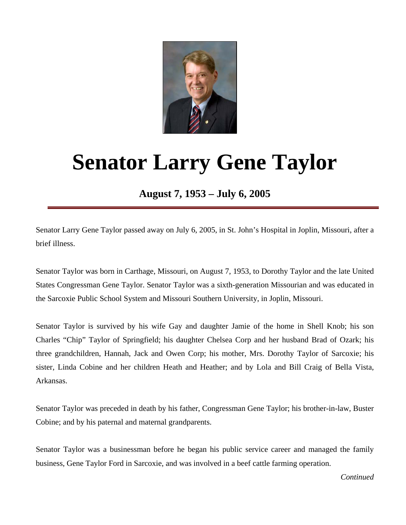

## **Senator Larry Gene Taylor**

**August 7, 1953 – July 6, 2005** 

Senator Larry Gene Taylor passed away on July 6, 2005, in St. John's Hospital in Joplin, Missouri, after a brief illness.

Senator Taylor was born in Carthage, Missouri, on August 7, 1953, to Dorothy Taylor and the late United States Congressman Gene Taylor. Senator Taylor was a sixth-generation Missourian and was educated in the Sarcoxie Public School System and Missouri Southern University, in Joplin, Missouri.

Senator Taylor is survived by his wife Gay and daughter Jamie of the home in Shell Knob; his son Charles "Chip" Taylor of Springfield; his daughter Chelsea Corp and her husband Brad of Ozark; his three grandchildren, Hannah, Jack and Owen Corp; his mother, Mrs. Dorothy Taylor of Sarcoxie; his sister, Linda Cobine and her children Heath and Heather; and by Lola and Bill Craig of Bella Vista, Arkansas.

Senator Taylor was preceded in death by his father, Congressman Gene Taylor; his brother-in-law, Buster Cobine; and by his paternal and maternal grandparents.

Senator Taylor was a businessman before he began his public service career and managed the family business, Gene Taylor Ford in Sarcoxie, and was involved in a beef cattle farming operation.

*Continued*